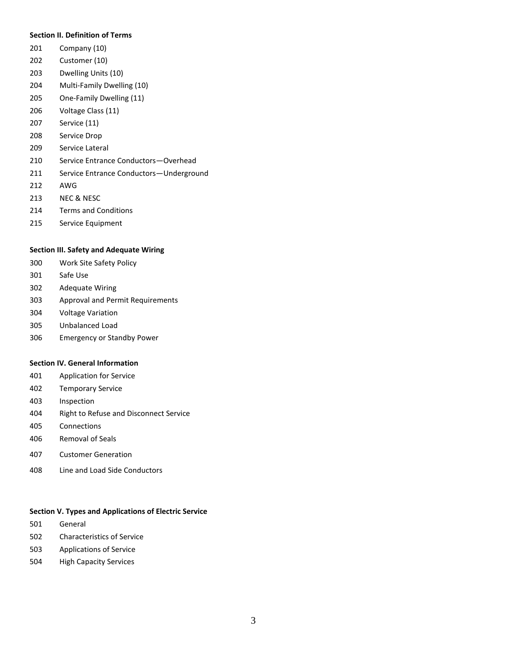### **Section II. Definition of Terms**

- Company (10)
- Customer (10)
- Dwelling Units (10)
- Multi-Family Dwelling (10)
- One-Family Dwelling (11)
- Voltage Class (11)
- Service (11)
- Service Drop
- Service Lateral
- Service Entrance Conductors—Overhead
- Service Entrance Conductors—Underground
- AWG
- NEC & NESC
- Terms and Conditions
- Service Equipment

### **Section III. Safety and Adequate Wiring**

- Work Site Safety Policy
- Safe Use
- Adequate Wiring
- Approval and Permit Requirements
- Voltage Variation
- Unbalanced Load
- Emergency or Standby Power

### **Section IV. General Information**

- Application for Service
- Temporary Service
- Inspection
- Right to Refuse and Disconnect Service
- Connections
- Removal of Seals
- 407 Customer Generation
- Line and Load Side Conductors

## **Section V. Types and Applications of Electric Service**

- General
- Characteristics of Service
- Applications of Service
- High Capacity Services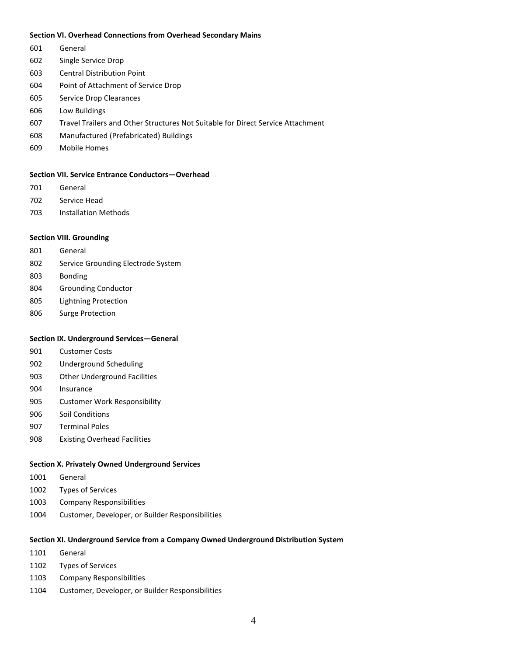#### **Section VI. Overhead Connections from Overhead Secondary Mains**

- General
- Single Service Drop
- Central Distribution Point
- Point of Attachment of Service Drop
- Service Drop Clearances
- Low Buildings
- Travel Trailers and Other Structures Not Suitable for Direct Service Attachment
- Manufactured (Prefabricated) Buildings
- Mobile Homes

### **Section VII. Service Entrance Conductors—Overhead**

- General
- Service Head
- Installation Methods

## **Section VIII. Grounding**

- General
- Service Grounding Electrode System
- Bonding
- Grounding Conductor
- Lightning Protection
- Surge Protection

### **Section IX. Underground Services—General**

- Customer Costs
- Underground Scheduling
- Other Underground Facilities
- Insurance
- Customer Work Responsibility
- Soil Conditions
- Terminal Poles
- Existing Overhead Facilities

## **Section X. Privately Owned Underground Services**

- General
- Types of Services
- Company Responsibilities
- Customer, Developer, or Builder Responsibilities

#### **Section XI. Underground Service from a Company Owned Underground Distribution System**

- General
- Types of Services
- Company Responsibilities
- Customer, Developer, or Builder Responsibilities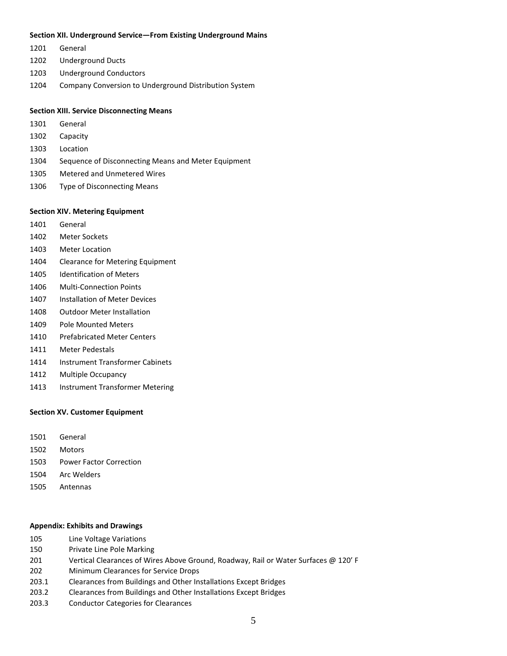#### **Section XII. Underground Service—From Existing Underground Mains**

- General
- Underground Ducts
- Underground Conductors
- Company Conversion to Underground Distribution System

# **Section XIII. Service Disconnecting Means**

- General
- Capacity
- Location
- Sequence of Disconnecting Means and Meter Equipment
- Metered and Unmetered Wires
- Type of Disconnecting Means

#### **Section XIV. Metering Equipment**

- General
- Meter Sockets
- Meter Location
- Clearance for Metering Equipment
- Identification of Meters
- Multi-Connection Points
- Installation of Meter Devices
- Outdoor Meter Installation
- Pole Mounted Meters
- Prefabricated Meter Centers
- Meter Pedestals
- 1414 Instrument Transformer Cabinets
- Multiple Occupancy
- Instrument Transformer Metering

### **Section XV. Customer Equipment**

- General
- Motors
- Power Factor Correction
- Arc Welders
- Antennas

### **Appendix: Exhibits and Drawings**

- Line Voltage Variations
- Private Line Pole Marking
- Vertical Clearances of Wires Above Ground, Roadway, Rail or Water Surfaces @ 120' F
- Minimum Clearances for Service Drops
- 203.1 Clearances from Buildings and Other Installations Except Bridges
- 203.2 Clearances from Buildings and Other Installations Except Bridges
- 203.3 Conductor Categories for Clearances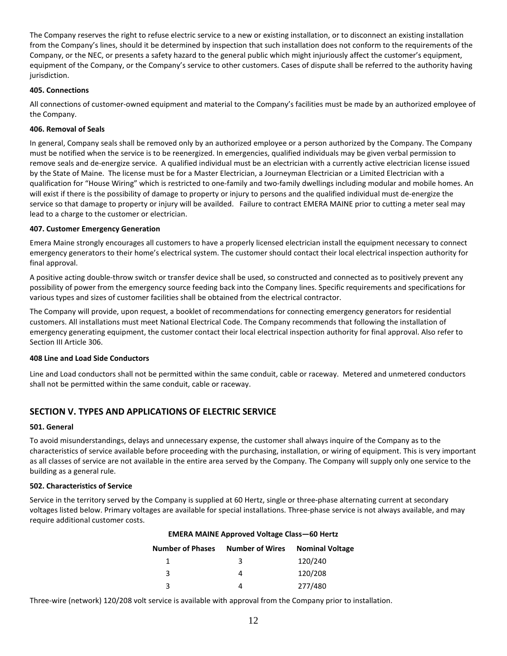The Company reserves the right to refuse electric service to a new or existing installation, or to disconnect an existing installation from the Company's lines, should it be determined by inspection that such installation does not conform to the requirements of the Company, or the NEC, or presents a safety hazard to the general public which might injuriously affect the customer's equipment, equipment of the Company, or the Company's service to other customers. Cases of dispute shall be referred to the authority having jurisdiction.

# **405. Connections**

All connections of customer-owned equipment and material to the Company's facilities must be made by an authorized employee of the Company.

# **406. Removal of Seals**

In general, Company seals shall be removed only by an authorized employee or a person authorized by the Company. The Company must be notified when the service is to be reenergized. In emergencies, qualified individuals may be given verbal permission to remove seals and de-energize service. A qualified individual must be an electrician with a currently active electrician license issued by the State of Maine. The license must be for a Master Electrician, a Journeyman Electrician or a Limited Electrician with a qualification for "House Wiring" which is restricted to one-family and two-family dwellings including modular and mobile homes. An will exist if there is the possibility of damage to property or injury to persons and the qualified individual must de-energize the service so that damage to property or injury will be availded. Failure to contract sZEdWKtZ prior to cutting a meter seal may lead to a charge to the customer or electrician.

# **407. Customer Emergency Generation**

**sRIVM?** strongly encourages all customers to have a properly licensed electrician install the equipment necessary to connect emergency generators to their home's electrical system. The customer should contact their local electrical inspection authority for final approval.

A positive acting double-throw switch or transfer device shall be used, so constructed and connected as to positively prevent any possibility of power from the emergency source feeding back into the Company lines. Specific requirements and specifications for various types and sizes of customer facilities shall be obtained from the electrical contractor.

The Company will provide, upon request, a booklet of recommendations for connecting emergency generators for residential customers. All installations must meet National Electrical Code. The Company recommends that following the installation of emergency generating equipment, the customer contact their local electrical inspection authority for final approval. Also refer to Section III Article 306.

# **408 Line and Load Side Conductors**

Line and Load conductors shall not be permitted within the same conduit, cable or raceway. Metered and unmetered conductors shall not be permitted within the same conduit, cable or raceway.

# **SECTION V. TYPES AND APPLICATIONS OF ELECTRIC SERVICE**

# **501. General**

To avoid misunderstandings, delays and unnecessary expense, the customer shall always inquire of the Company as to the characteristics of service available before proceeding with the purchasing, installation, or wiring of equipment. This is very important as all classes of service are not available in the entire area served by the Company. The Company will supply only one service to the building as a general rule.

# **502. Characteristics of Service**

Service in the territory served by the Company is supplied at 60 Hertz, single or three-phase alternating current at secondary voltages listed below. Primary voltages are available for special installations. Three-phase service is not always available, and may require additional customer costs.

| sZEdWKtZ Approved Voltage |                        | Class-60 Hertz         |
|---------------------------|------------------------|------------------------|
| <b>Number of Phases</b>   | <b>Number of Wires</b> | <b>Nominal Voltage</b> |
| 1                         | 3                      | 120/240                |
| 3                         | 4                      | 120/208                |
| ર                         | 4                      | 277/480                |

Three-wire (network) 120/208 volt service is available with approval from the Company prior to installation.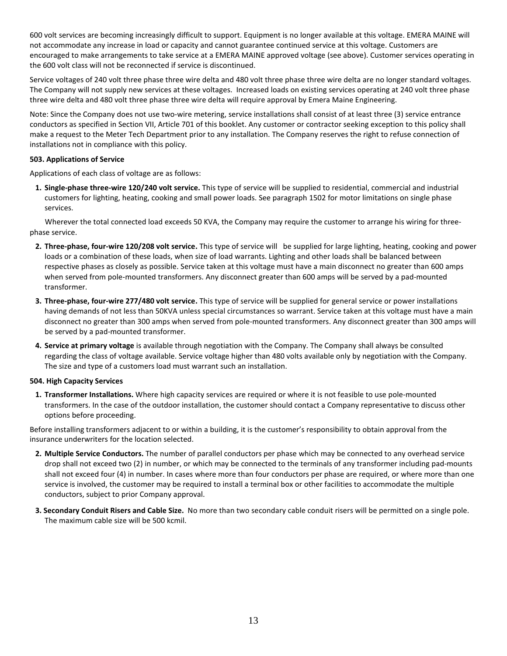600 volt services are becoming increasingly difficult to support. Equipment is no longer available at this voltage. VERSANT POWER will not accommodate any increase in load or capacity and cannot guarantee continued service at this voltage. Customers are encouraged to make arrangements to take service at a VERSANT POWER approved voltage (see above). Customer services operating in the 600 volt class will not be reconnected if service is discontinued.

Service voltages of 240 volt three phase three wire delta and 480 volt three phase three wire delta are no longer standard voltages. The Company will not supply new services at these voltages. Increased loads on existing services operating at 240 volt three phase three wire delta and 480 volt three phase three wire delta will require approval by Versant Power Engineering.

Note: Since the Company does not use two-wire metering, service installations shall consist of at least three (3) service entrance conductors as specified in Section VII, Article 701 of this booklet. Any customer or contractor seeking exception to this policy shall make a request to the Meter Tech Department prior to any installation. The Company reserves the right to refuse connection of installations not in compliance with this policy.

# **503. Applications of Service**

Applications of each class of voltage are as follows:

**1. Single-phase three-wire 120/240 volt service.** This type of service will be supplied to residential, commercial and industrial customers for lighting, heating, cooking and small power loads. See paragraph 1502 for motor limitations on single phase services.

Wherever the total connected load exceeds 50 KVA, the Company may require the customer to arrange his wiring for threephase service.

- **2. Three-phase, four-wire 120/208 volt service.** This type of service will be supplied for large lighting, heating, cooking and power loads or a combination of these loads, when size of load warrants. Lighting and other loads shall be balanced between respective phases as closely as possible. Service taken at this voltage must have a main disconnect no greater than 600 amps when served from pole-mounted transformers. Any disconnect greater than 600 amps will be served by a pad-mounted transformer.
- **3. Three-phase, four-wire 277/480 volt service.** This type of service will be supplied for general service or power installations having demands of not less than 50KVA unless special circumstances so warrant. Service taken at this voltage must have a main disconnect no greater than 300 amps when served from pole-mounted transformers. Any disconnect greater than 300 amps will be served by a pad-mounted transformer.
- **4. Service at primary voltage** is available through negotiation with the Company. The Company shall always be consulted regarding the class of voltage available. Service voltage higher than 480 volts available only by negotiation with the Company. The size and type of a customers load must warrant such an installation.

# **504. High Capacity Services**

**1. Transformer Installations.** Where high capacity services are required or where it is not feasible to use pole-mounted transformers. In the case of the outdoor installation, the customer should contact a Company representative to discuss other options before proceeding.

Before installing transformers adjacent to or within a building, it is the customer's responsibility to obtain approval from the insurance underwriters for the location selected.

- **2. Multiple Service Conductors.** The number of parallel conductors per phase which may be connected to any overhead service drop shall not exceed two (2) in number, or which may be connected to the terminals of any transformer including pad-mounts shall not exceed four (4) in number. In cases where more than four conductors per phase are required, or where more than one service is involved, the customer may be required to install a terminal box or other facilities to accommodate the multiple conductors, subject to prior Company approval.
- **3. Secondary Conduit Risers and Cable Size.** No more than two secondary cable conduit risers will be permitted on a single pole. The maximum cable size will be 500 kcmil.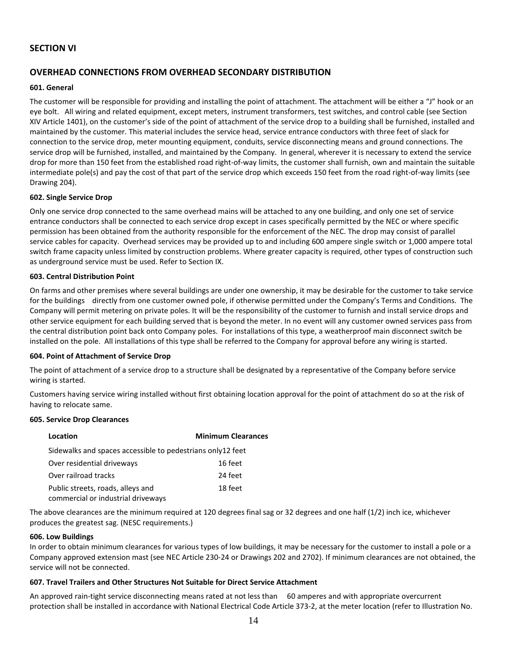# **SECTION VI**

# **OVERHEAD CONNECTIONS FROM OVERHEAD SECONDARY DISTRIBUTION**

## **601. General**

The customer will be responsible for providing and installing the point of attachment. The attachment will be either a "J" hook or an eye bolt. All wiring and related equipment, except meters, instrument transformers, test switches, and control cable (see Section XIV Article 1401), on the customer's side of the point of attachment of the service drop to a building shall be furnished, installed and maintained by the customer. This material includes the service head, service entrance conductors with three feet of slack for connection to the service drop, meter mounting equipment, conduits, service disconnecting means and ground connections. The service drop will be furnished, installed, and maintained by the Company. In general, wherever it is necessary to extend the service drop for more than 150 feet from the established road right-of-way limits, the customer shall furnish, own and maintain the suitable intermediate pole(s) and pay the cost of that part of the service drop which exceeds 150 feet from the road right-of-way limits (see Drawing 204).

## **602. Single Service Drop**

Only one service drop connected to the same overhead mains will be attached to any one building, and only one set of service entrance conductors shall be connected to each service drop except in cases specifically permitted by the NEC or where specific permission has been obtained from the authority responsible for the enforcement of the NEC. The drop may consist of parallel service cables for capacity. Overhead services may be provided up to and including 600 ampere single switch or 1,000 ampere total switch frame capacity unless limited by construction problems. Where greater capacity is required, other types of construction such as underground service must be used. Refer to Section IX.

## **603. Central Distribution Point**

On farms and other premises where several buildings are under one ownership, it may be desirable for the customer to take service for the buildings directly from one customer owned pole, if otherwise permitted under the Company's Terms and Conditions. The Company will permit metering on private poles. It will be the responsibility of the customer to furnish and install service drops and other service equipment for each building served that is beyond the meter. In no event will any customer owned services pass from the central distribution point back onto Company poles. For installations of this type, a weatherproof main disconnect switch be installed on the pole. All installations of this type shall be referred to the Company for approval before any wiring is started.

### **604. Point of Attachment of Service Drop**

The point of attachment of a service drop to a structure shall be designated by a representative of the Company before service wiring is started.

Customers having service wiring installed without first obtaining location approval for the point of attachment do so at the risk of having to relocate same.

### **605. Service Drop Clearances**

| Location                                                   | <b>Minimum Clearances</b> |
|------------------------------------------------------------|---------------------------|
| Sidewalks and spaces accessible to pedestrians only12 feet |                           |
| Over residential driveways                                 | 16 feet                   |
| Over railroad tracks                                       | 24 feet                   |
| Public streets, roads, alleys and                          | 18 feet                   |
| commercial or industrial driveways                         |                           |

The above clearances are the minimum required at 120 degrees final sag or 32 degrees and one half (1/2) inch ice, whichever produces the greatest sag. (NESC requirements.)

### **606. Low Buildings**

In order to obtain minimum clearances for various types of low buildings, it may be necessary for the customer to install a pole or a Company approved extension mast (see NEC Article 230-24 or Drawings 202 and 2702). If minimum clearances are not obtained, the service will not be connected.

# **607. Travel Trailers and Other Structures Not Suitable for Direct Service Attachment**

An approved rain-tight service disconnecting means rated at not less than 60 amperes and with appropriate overcurrent protection shall be installed in accordance with National Electrical Code Article 373-2, at the meter location (refer to Illustration No.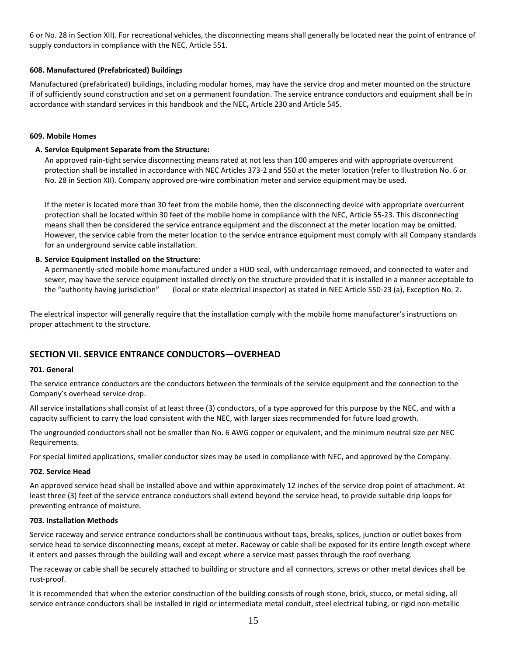6 or No. 28 in Section XII). For recreational vehicles, the disconnecting means shall generally be located near the point of entrance of supply conductors in compliance with the NEC, Article 551.

# **608. Manufactured (Prefabricated) Buildings**

Manufactured (prefabricated) buildings, including modular homes, may have the service drop and meter mounted on the structure if of sufficiently sound construction and set on a permanent foundation. The service entrance conductors and equipment shall be in accordance with standard services in this handbook and the NEC**,** Article 230 and Article 545.

## **609. Mobile Homes**

## **A. Service Equipment Separate from the Structure:**

An approved rain-tight service disconnecting means rated at not less than 100 amperes and with appropriate overcurrent protection shall be installed in accordance with NEC Articles 373-2 and 550 at the meter location (refer to Illustration No. 6 or No. 28 in Section XII). Company approved pre-wire combination meter and service equipment may be used.

If the meter is located more than 30 feet from the mobile home, then the disconnecting device with appropriate overcurrent protection shall be located within 30 feet of the mobile home in compliance with the NEC, Article 55-23. This disconnecting means shall then be considered the service entrance equipment and the disconnect at the meter location may be omitted. However, the service cable from the meter location to the service entrance equipment must comply with all Company standards for an underground service cable installation.

## **B. Service Equipment installed on the Structure:**

A permanently-sited mobile home manufactured under a HUD seal, with undercarriage removed, and connected to water and sewer, may have the service equipment installed directly on the structure provided that it is installed in a manner acceptable to the "authority having jurisdiction" (local or state electrical inspector) as stated in NEC Article 550-23 (a), Exception No. 2.

The electrical inspector will generally require that the installation comply with the mobile home manufacturer's instructions on proper attachment to the structure.

# **SECTION VII. SERVICE ENTRANCE CONDUCTORS—OVERHEAD**

### **701. General**

The service entrance conductors are the conductors between the terminals of the service equipment and the connection to the Company's overhead service drop.

All service installations shall consist of at least three (3) conductors, of a type approved for this purpose by the NEC, and with a capacity sufficient to carry the load consistent with the NEC, with larger sizes recommended for future load growth.

The ungrounded conductors shall not be smaller than No. 6 AWG copper or equivalent, and the minimum neutral size per NEC Requirements.

For special limited applications, smaller conductor sizes may be used in compliance with NEC, and approved by the Company.

### **702. Service Head**

An approved service head shall be installed above and within approximately 12 inches of the service drop point of attachment. At least three (3) feet of the service entrance conductors shall extend beyond the service head, to provide suitable drip loops for preventing entrance of moisture.

### **703. Installation Methods**

Service raceway and service entrance conductors shall be continuous without taps, breaks, splices, junction or outlet boxes from service head to service disconnecting means, except at meter. Raceway or cable shall be exposed for its entire length except where it enters and passes through the building wall and except where a service mast passes through the roof overhang.

The raceway or cable shall be securely attached to building or structure and all connectors, screws or other metal devices shall be rust-proof.

It is recommended that when the exterior construction of the building consists of rough stone, brick, stucco, or metal siding, all service entrance conductors shall be installed in rigid or intermediate metal conduit, steel electrical tubing, or rigid non-metallic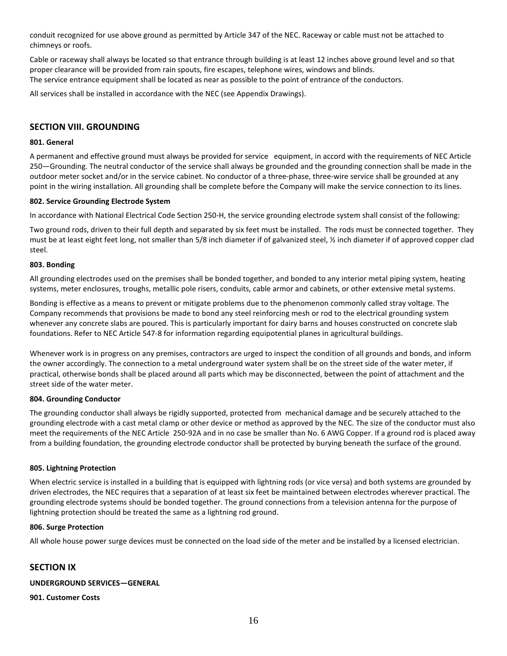conduit recognized for use above ground as permitted by Article 347 of the NEC. Raceway or cable must not be attached to chimneys or roofs.

Cable or raceway shall always be located so that entrance through building is at least 12 inches above ground level and so that proper clearance will be provided from rain spouts, fire escapes, telephone wires, windows and blinds. The service entrance equipment shall be located as near as possible to the point of entrance of the conductors.

All services shall be installed in accordance with the NEC (see Appendix Drawings).

# **SECTION VIII. GROUNDING**

## **801. General**

A permanent and effective ground must always be provided for service equipment, in accord with the requirements of NEC Article 250—Grounding. The neutral conductor of the service shall always be grounded and the grounding connection shall be made in the outdoor meter socket and/or in the service cabinet. No conductor of a three-phase, three-wire service shall be grounded at any point in the wiring installation. All grounding shall be complete before the Company will make the service connection to its lines.

## **802. Service Grounding Electrode System**

In accordance with National Electrical Code Section 250-H, the service grounding electrode system shall consist of the following:

Two ground rods, driven to their full depth and separated by six feet must be installed. The rods must be connected together. They must be at least eight feet long, not smaller than 5/8 inch diameter if of galvanized steel, ½ inch diameter if of approved copper clad steel.

## **803. Bonding**

All grounding electrodes used on the premises shall be bonded together, and bonded to any interior metal piping system, heating systems, meter enclosures, troughs, metallic pole risers, conduits, cable armor and cabinets, or other extensive metal systems.

Bonding is effective as a means to prevent or mitigate problems due to the phenomenon commonly called stray voltage. The Company recommends that provisions be made to bond any steel reinforcing mesh or rod to the electrical grounding system whenever any concrete slabs are poured. This is particularly important for dairy barns and houses constructed on concrete slab foundations. Refer to NEC Article 547-8 for information regarding equipotential planes in agricultural buildings.

Whenever work is in progress on any premises, contractors are urged to inspect the condition of all grounds and bonds, and inform the owner accordingly. The connection to a metal underground water system shall be on the street side of the water meter, if practical, otherwise bonds shall be placed around all parts which may be disconnected, between the point of attachment and the street side of the water meter.

### **804. Grounding Conductor**

The grounding conductor shall always be rigidly supported, protected from mechanical damage and be securely attached to the grounding electrode with a cast metal clamp or other device or method as approved by the NEC. The size of the conductor must also meet the requirements of the NEC Article 250-92A and in no case be smaller than No. 6 AWG Copper. If a ground rod is placed away from a building foundation, the grounding electrode conductor shall be protected by burying beneath the surface of the ground.

# **805. Lightning Protection**

When electric service is installed in a building that is equipped with lightning rods (or vice versa) and both systems are grounded by driven electrodes, the NEC requires that a separation of at least six feet be maintained between electrodes wherever practical. The grounding electrode systems should be bonded together. The ground connections from a television antenna for the purpose of lightning protection should be treated the same as a lightning rod ground.

### **806. Surge Protection**

All whole house power surge devices must be connected on the load side of the meter and be installed by a licensed electrician.

# **SECTION IX**

# **UNDERGROUND SERVICES—GENERAL**

**901. Customer Costs**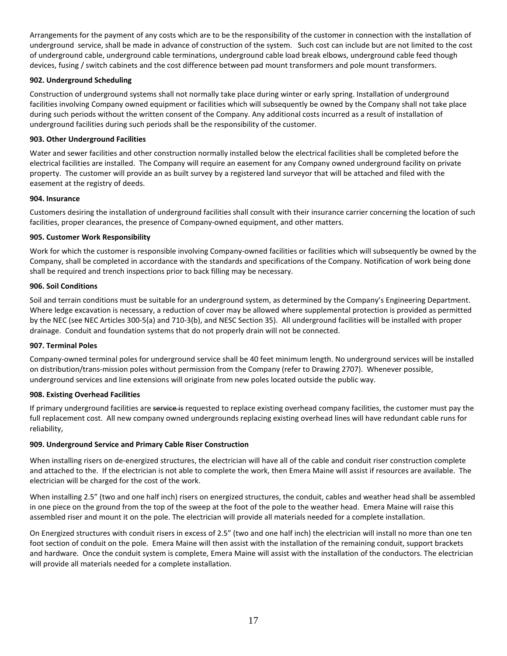Arrangements for the payment of any costs which are to be the responsibility of the customer in connection with the installation of underground service, shall be made in advance of construction of the system. Such cost can include but are not limited to the cost of underground cable, underground cable terminations, underground cable load break elbows, underground cable feed though devices, fusing / switch cabinets and the cost difference between pad mount transformers and pole mount transformers.

# **902. Underground Scheduling**

Construction of underground systems shall not normally take place during winter or early spring. Installation of underground facilities involving Company owned equipment or facilities which will subsequently be owned by the Company shall not take place during such periods without the written consent of the Company. Any additional costs incurred as a result of installation of underground facilities during such periods shall be the responsibility of the customer.

# **903. Other Underground Facilities**

Water and sewer facilities and other construction normally installed below the electrical facilities shall be completed before the electrical facilities are installed. The Company will require an easement for any Company owned underground facility on private property. The customer will provide an as built survey by a registered land surveyor that will be attached and filed with the easement at the registry of deeds.

# **904. Insurance**

Customers desiring the installation of underground facilities shall consult with their insurance carrier concerning the location of such facilities, proper clearances, the presence of Company-owned equipment, and other matters.

# **905. Customer Work Responsibility**

Work for which the customer is responsible involving Company-owned facilities or facilities which will subsequently be owned by the Company, shall be completed in accordance with the standards and specifications of the Company. Notification of work being done shall be required and trench inspections prior to back filling may be necessary.

## **906. Soil Conditions**

Soil and terrain conditions must be suitable for an underground system, as determined by the Company's Engineering Department. Where ledge excavation is necessary, a reduction of cover may be allowed where supplemental protection is provided as permitted by the NEC (see NEC Articles 300-5(a) and 710-3(b), and NESC Section 35). All underground facilities will be installed with proper drainage. Conduit and foundation systems that do not properly drain will not be connected.

### **907. Terminal Poles**

Company-owned terminal poles for underground service shall be 40 feet minimum length. No underground services will be installed on distribution/trans-mission poles without permission from the Company (refer to Drawing 2707). Whenever possible, underground services and line extensions will originate from new poles located outside the public way.

# **908. Existing Overhead Facilities**

If primary underground facilities are service is requested to replace existing overhead company facilities, the customer must pay the full replacement cost. All new company owned undergrounds replacing existing overhead lines will have redundant cable runs for reliability,

# **909. Underground Service and Primary Cable Riser Construction**

When installing risers on de-energized structures, the electrician will have all of the cable and conduit riser construction complete and attached to the. If the electrician is not able to complete the work, then Versant Power will assist if resources are available. The electrician will be charged for the cost of the work.

When installing 2.5" (two and one half inch) risers on energized structures, the conduit, cables and weather head shall be assembled in one piece on the ground from the top of the sweep at the foot of the pole to the weather head. Versant Power will raise this assembled riser and mount it on the pole. The electrician will provide all materials needed for a complete installation.

On Energized structures with conduit risers in excess of 2.5" (two and one half inch) the electrician will install no more than one ten foot section of conduit on the pole. Versant Power will then assist with the installation of the remaining conduit, support brackets and hardware. Once the conduit system is complete, Versant Power will assist with the installation of the conductors. The electrician will provide all materials needed for a complete installation.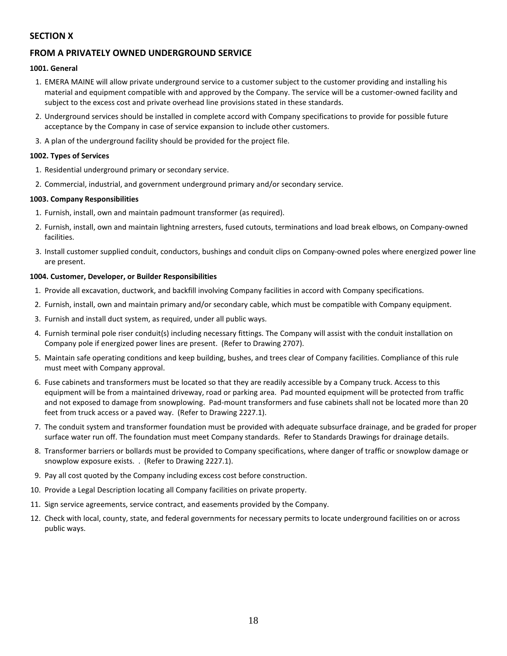# **SECTION X**

# **FROM A PRIVATELY OWNED UNDERGROUND SERVICE**

## **1001. General**

- 1. VERSANT POWER will allow private underground service to a customer subject to the customer providing and installing his material and equipment compatible with and approved by the Company. The service will be a customer-owned facility and subject to the excess cost and private overhead line provisions stated in these standards.
- 2. Underground services should be installed in complete accord with Company specifications to provide for possible future acceptance by the Company in case of service expansion to include other customers.
- 3. A plan of the underground facility should be provided for the project file.

## **1002. Types of Services**

- 1. Residential underground primary or secondary service.
- 2. Commercial, industrial, and government underground primary and/or secondary service.

## **1003. Company Responsibilities**

- 1. Furnish, install, own and maintain padmount transformer (as required).
- 2. Furnish, install, own and maintain lightning arresters, fused cutouts, terminations and load break elbows, on Company-owned facilities.
- 3. Install customer supplied conduit, conductors, bushings and conduit clips on Company-owned poles where energized power line are present.

## **1004. Customer, Developer, or Builder Responsibilities**

- 1. Provide all excavation, ductwork, and backfill involving Company facilities in accord with Company specifications.
- 2. Furnish, install, own and maintain primary and/or secondary cable, which must be compatible with Company equipment.
- 3. Furnish and install duct system, as required, under all public ways.
- 4. Furnish terminal pole riser conduit(s) including necessary fittings. The Company will assist with the conduit installation on Company pole if energized power lines are present. (Refer to Drawing 2707).
- 5. Maintain safe operating conditions and keep building, bushes, and trees clear of Company facilities. Compliance of this rule must meet with Company approval.
- 6. Fuse cabinets and transformers must be located so that they are readily accessible by a Company truck. Access to this equipment will be from a maintained driveway, road or parking area. Pad mounted equipment will be protected from traffic and not exposed to damage from snowplowing. Pad-mount transformers and fuse cabinets shall not be located more than 20 feet from truck access or a paved way. (Refer to Drawing 2227.1).
- 7. The conduit system and transformer foundation must be provided with adequate subsurface drainage, and be graded for proper surface water run off. The foundation must meet Company standards. Refer to Standards Drawings for drainage details.
- 8. Transformer barriers or bollards must be provided to Company specifications, where danger of traffic or snowplow damage or snowplow exposure exists. . (Refer to Drawing 2227.1).
- 9. Pay all cost quoted by the Company including excess cost before construction.
- 10. Provide a Legal Description locating all Company facilities on private property.
- 11. Sign service agreements, service contract, and easements provided by the Company.
- 12. Check with local, county, state, and federal governments for necessary permits to locate underground facilities on or across public ways.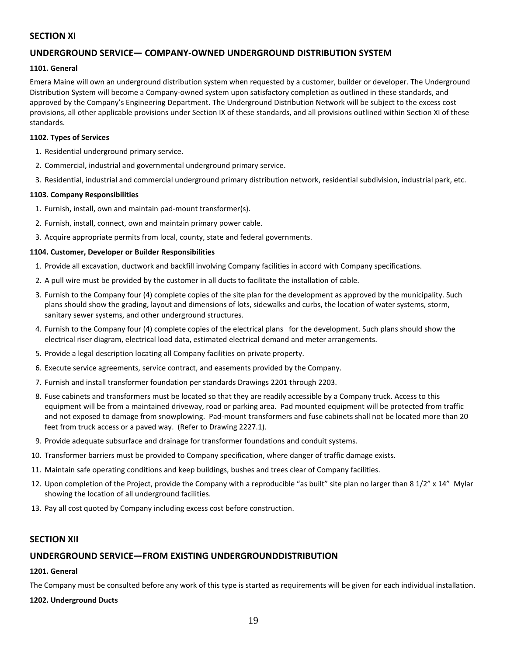# **SECTION XI**

# **UNDERGROUND SERVICE— COMPANY-OWNED UNDERGROUND DISTRIBUTION SYSTEM**

## **1101. General**

Versant Power will own an underground distribution system when requested by a customer, builder or developer. The Underground Distribution System will become a Company-owned system upon satisfactory completion as outlined in these standards, and approved by the Company's Engineering Department. The Underground Distribution Network will be subject to the excess cost provisions, all other applicable provisions under Section IX of these standards, and all provisions outlined within Section XI of these standards.

## **1102. Types of Services**

- 1. Residential underground primary service.
- 2. Commercial, industrial and governmental underground primary service.
- 3. Residential, industrial and commercial underground primary distribution network, residential subdivision, industrial park, etc.

## **1103. Company Responsibilities**

- 1. Furnish, install, own and maintain pad-mount transformer(s).
- 2. Furnish, install, connect, own and maintain primary power cable.
- 3. Acquire appropriate permits from local, county, state and federal governments.

## **1104. Customer, Developer or Builder Responsibilities**

- 1. Provide all excavation, ductwork and backfill involving Company facilities in accord with Company specifications.
- 2. A pull wire must be provided by the customer in all ducts to facilitate the installation of cable.
- 3. Furnish to the Company four (4) complete copies of the site plan for the development as approved by the municipality. Such plans should show the grading, layout and dimensions of lots, sidewalks and curbs, the location of water systems, storm, sanitary sewer systems, and other underground structures.
- 4. Furnish to the Company four (4) complete copies of the electrical plans for the development. Such plans should show the electrical riser diagram, electrical load data, estimated electrical demand and meter arrangements.
- 5. Provide a legal description locating all Company facilities on private property.
- 6. Execute service agreements, service contract, and easements provided by the Company.
- 7. Furnish and install transformer foundation per standards Drawings 2201 through 2203.
- 8. Fuse cabinets and transformers must be located so that they are readily accessible by a Company truck. Access to this equipment will be from a maintained driveway, road or parking area. Pad mounted equipment will be protected from traffic and not exposed to damage from snowplowing. Pad-mount transformers and fuse cabinets shall not be located more than 20 feet from truck access or a paved way. (Refer to Drawing 2227.1).
- 9. Provide adequate subsurface and drainage for transformer foundations and conduit systems.
- 10. Transformer barriers must be provided to Company specification, where danger of traffic damage exists.
- 11. Maintain safe operating conditions and keep buildings, bushes and trees clear of Company facilities.
- 12. Upon completion of the Project, provide the Company with a reproducible "as built" site plan no larger than 8 1/2" x 14" Mylar showing the location of all underground facilities.
- 13. Pay all cost quoted by Company including excess cost before construction.

# **SECTION XII**

# **UNDERGROUND SERVICE—FROM EXISTING UNDERGROUNDDISTRIBUTION**

# **1201. General**

The Company must be consulted before any work of this type is started as requirements will be given for each individual installation.

# **1202. Underground Ducts**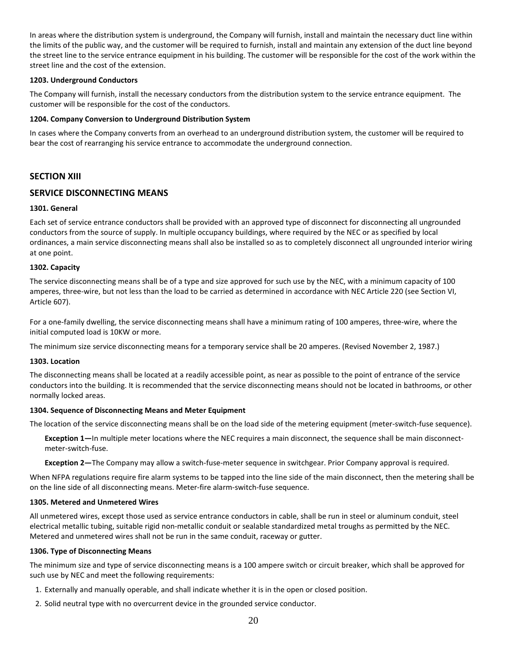In areas where the distribution system is underground, the Company will furnish, install and maintain the necessary duct line within the limits of the public way, and the customer will be required to furnish, install and maintain any extension of the duct line beyond the street line to the service entrance equipment in his building. The customer will be responsible for the cost of the work within the street line and the cost of the extension.

## **1203. Underground Conductors**

The Company will furnish, install the necessary conductors from the distribution system to the service entrance equipment. The customer will be responsible for the cost of the conductors.

## **1204. Company Conversion to Underground Distribution System**

In cases where the Company converts from an overhead to an underground distribution system, the customer will be required to bear the cost of rearranging his service entrance to accommodate the underground connection.

# **SECTION XIII**

# **SERVICE DISCONNECTING MEANS**

## **1301. General**

Each set of service entrance conductors shall be provided with an approved type of disconnect for disconnecting all ungrounded conductors from the source of supply. In multiple occupancy buildings, where required by the NEC or as specified by local ordinances, a main service disconnecting means shall also be installed so as to completely disconnect all ungrounded interior wiring at one point.

## **1302. Capacity**

The service disconnecting means shall be of a type and size approved for such use by the NEC, with a minimum capacity of 100 amperes, three-wire, but not less than the load to be carried as determined in accordance with NEC Article 220 (see Section VI, Article 607).

For a one-family dwelling, the service disconnecting means shall have a minimum rating of 100 amperes, three-wire, where the initial computed load is 10KW or more.

The minimum size service disconnecting means for a temporary service shall be 20 amperes. (Revised November 2, 1987.)

### **1303. Location**

The disconnecting means shall be located at a readily accessible point, as near as possible to the point of entrance of the service conductors into the building. It is recommended that the service disconnecting means should not be located in bathrooms, or other normally locked areas.

### **1304. Sequence of Disconnecting Means and Meter Equipment**

The location of the service disconnecting means shall be on the load side of the metering equipment (meter-switch-fuse sequence).

**Exception 1—**In multiple meter locations where the NEC requires a main disconnect, the sequence shall be main disconnectmeter-switch-fuse.

**Exception 2—**The Company may allow a switch-fuse-meter sequence in switchgear. Prior Company approval is required.

When NFPA regulations require fire alarm systems to be tapped into the line side of the main disconnect, then the metering shall be on the line side of all disconnecting means. Meter-fire alarm-switch-fuse sequence.

### **1305. Metered and Unmetered Wires**

All unmetered wires, except those used as service entrance conductors in cable, shall be run in steel or aluminum conduit, steel electrical metallic tubing, suitable rigid non-metallic conduit or sealable standardized metal troughs as permitted by the NEC. Metered and unmetered wires shall not be run in the same conduit, raceway or gutter.

## **1306. Type of Disconnecting Means**

The minimum size and type of service disconnecting means is a 100 ampere switch or circuit breaker, which shall be approved for such use by NEC and meet the following requirements:

- 1. Externally and manually operable, and shall indicate whether it is in the open or closed position.
- 2. Solid neutral type with no overcurrent device in the grounded service conductor.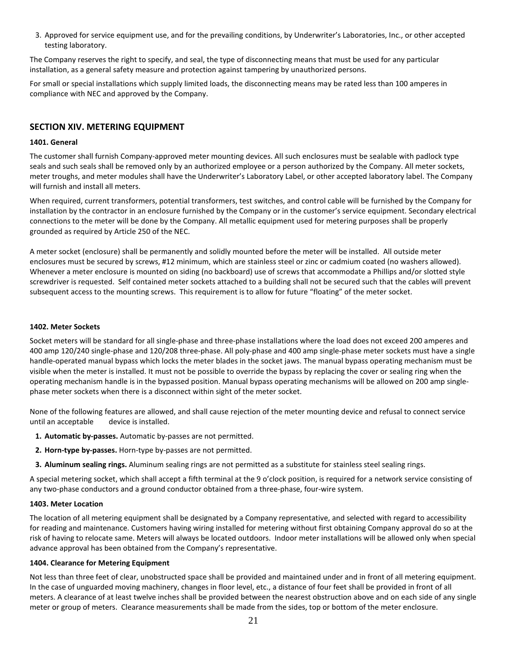3. Approved for service equipment use, and for the prevailing conditions, by Underwriter's Laboratories, Inc., or other accepted testing laboratory.

The Company reserves the right to specify, and seal, the type of disconnecting means that must be used for any particular installation, as a general safety measure and protection against tampering by unauthorized persons.

For small or special installations which supply limited loads, the disconnecting means may be rated less than 100 amperes in compliance with NEC and approved by the Company.

# **SECTION XIV. METERING EQUIPMENT**

## **1401. General**

The customer shall furnish Company-approved meter mounting devices. All such enclosures must be sealable with padlock type seals and such seals shall be removed only by an authorized employee or a person authorized by the Company. All meter sockets, meter troughs, and meter modules shall have the Underwriter's Laboratory Label, or other accepted laboratory label. The Company will furnish and install all meters.

When required, current transformers, potential transformers, test switches, and control cable will be furnished by the Company for installation by the contractor in an enclosure furnished by the Company or in the customer's service equipment. Secondary electrical connections to the meter will be done by the Company. All metallic equipment used for metering purposes shall be properly grounded as required by Article 250 of the NEC.

A meter socket (enclosure) shall be permanently and solidly mounted before the meter will be installed. All outside meter enclosures must be secured by screws, #12 minimum, which are stainless steel or zinc or cadmium coated (no washers allowed). Whenever a meter enclosure is mounted on siding (no backboard) use of screws that accommodate a Phillips and/or slotted style screwdriver is requested. Self contained meter sockets attached to a building shall not be secured such that the cables will prevent subsequent access to the mounting screws. This requirement is to allow for future "floating" of the meter socket.

## **1402. Meter Sockets**

Socket meters will be standard for all single-phase and three-phase installations where the load does not exceed 200 amperes and 400 amp 120/240 single-phase and 120/208 three-phase. All poly-phase and 400 amp single-phase meter sockets must have a single handle-operated manual bypass which locks the meter blades in the socket jaws. The manual bypass operating mechanism must be visible when the meter is installed. It must not be possible to override the bypass by replacing the cover or sealing ring when the operating mechanism handle is in the bypassed position. Manual bypass operating mechanisms will be allowed on 200 amp singlephase meter sockets when there is a disconnect within sight of the meter socket.

None of the following features are allowed, and shall cause rejection of the meter mounting device and refusal to connect service until an acceptable device is installed.

- **1. Automatic by-passes.** Automatic by-passes are not permitted.
- **2. Horn-type by-passes.** Horn-type by-passes are not permitted.
- **3. Aluminum sealing rings.** Aluminum sealing rings are not permitted as a substitute for stainless steel sealing rings.

A special metering socket, which shall accept a fifth terminal at the 9 o'clock position, is required for a network service consisting of any two-phase conductors and a ground conductor obtained from a three-phase, four-wire system.

### **1403. Meter Location**

The location of all metering equipment shall be designated by a Company representative, and selected with regard to accessibility for reading and maintenance. Customers having wiring installed for metering without first obtaining Company approval do so at the risk of having to relocate same. Meters will always be located outdoors. Indoor meter installations will be allowed only when special advance approval has been obtained from the Company's representative.

### **1404. Clearance for Metering Equipment**

Not less than three feet of clear, unobstructed space shall be provided and maintained under and in front of all metering equipment. In the case of unguarded moving machinery, changes in floor level, etc., a distance of four feet shall be provided in front of all meters. A clearance of at least twelve inches shall be provided between the nearest obstruction above and on each side of any single meter or group of meters. Clearance measurements shall be made from the sides, top or bottom of the meter enclosure.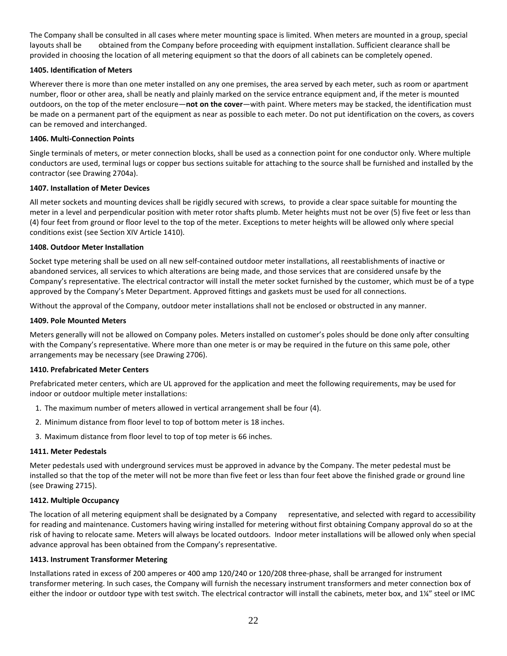The Company shall be consulted in all cases where meter mounting space is limited. When meters are mounted in a group, special layouts shall be obtained from the Company before proceeding with equipment installation. Sufficient clearance shall be provided in choosing the location of all metering equipment so that the doors of all cabinets can be completely opened.

# **1405. Identification of Meters**

Wherever there is more than one meter installed on any one premises, the area served by each meter, such as room or apartment number, floor or other area, shall be neatly and plainly marked on the service entrance equipment and, if the meter is mounted outdoors, on the top of the meter enclosure—**not on the cover**—with paint. Where meters may be stacked, the identification must be made on a permanent part of the equipment as near as possible to each meter. Do not put identification on the covers, as covers can be removed and interchanged.

## **1406. Multi-Connection Points**

Single terminals of meters, or meter connection blocks, shall be used as a connection point for one conductor only. Where multiple conductors are used, terminal lugs or copper bus sections suitable for attaching to the source shall be furnished and installed by the contractor (see Drawing 2704a).

### **1407. Installation of Meter Devices**

All meter sockets and mounting devices shall be rigidly secured with screws, to provide a clear space suitable for mounting the meter in a level and perpendicular position with meter rotor shafts plumb. Meter heights must not be over (5) five feet or less than (4) four feet from ground or floor level to the top of the meter. Exceptions to meter heights will be allowed only where special conditions exist (see Section XIV Article 1410).

## **1408. Outdoor Meter Installation**

Socket type metering shall be used on all new self-contained outdoor meter installations, all reestablishments of inactive or abandoned services, all services to which alterations are being made, and those services that are considered unsafe by the Company's representative. The electrical contractor will install the meter socket furnished by the customer, which must be of a type approved by the Company's Meter Department. Approved fittings and gaskets must be used for all connections.

Without the approval of the Company, outdoor meter installations shall not be enclosed or obstructed in any manner.

### **1409. Pole Mounted Meters**

Meters generally will not be allowed on Company poles. Meters installed on customer's poles should be done only after consulting with the Company's representative. Where more than one meter is or may be required in the future on this same pole, other arrangements may be necessary (see Drawing 2706).

### **1410. Prefabricated Meter Centers**

Prefabricated meter centers, which are UL approved for the application and meet the following requirements, may be used for indoor or outdoor multiple meter installations:

- 1. The maximum number of meters allowed in vertical arrangement shall be four (4).
- 2. Minimum distance from floor level to top of bottom meter is 18 inches.
- 3. Maximum distance from floor level to top of top meter is 66 inches.

### **1411. Meter Pedestals**

Meter pedestals used with underground services must be approved in advance by the Company. The meter pedestal must be installed so that the top of the meter will not be more than five feet or less than four feet above the finished grade or ground line (see Drawing 2715).

### **1412. Multiple Occupancy**

The location of all metering equipment shall be designated by a Company representative, and selected with regard to accessibility for reading and maintenance. Customers having wiring installed for metering without first obtaining Company approval do so at the risk of having to relocate same. Meters will always be located outdoors. Indoor meter installations will be allowed only when special advance approval has been obtained from the Company's representative.

### **1413. Instrument Transformer Metering**

Installations rated in excess of 200 amperes or 400 amp 120/240 or 120/208 three-phase, shall be arranged for instrument transformer metering. In such cases, the Company will furnish the necessary instrument transformers and meter connection box of either the indoor or outdoor type with test switch. The electrical contractor will install the cabinets, meter box, and 1¼" steel or IMC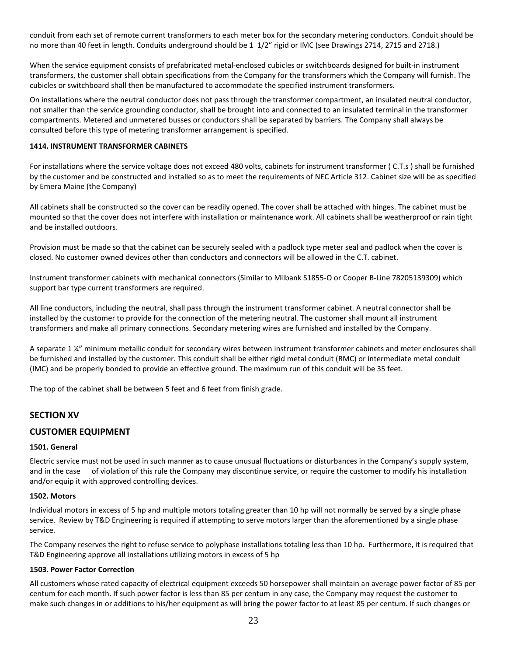conduit from each set of remote current transformers to each meter box for the secondary metering conductors. Conduit should be no more than 40 feet in length. Conduits underground should be 1 1/2" rigid or IMC (see Drawings 2714, 2715 and 2718.)

When the service equipment consists of prefabricated metal-enclosed cubicles or switchboards designed for built-in instrument transformers, the customer shall obtain specifications from the Company for the transformers which the Company will furnish. The cubicles or switchboard shall then be manufactured to accommodate the specified instrument transformers.

On installations where the neutral conductor does not pass through the transformer compartment, an insulated neutral conductor, not smaller than the service grounding conductor, shall be brought into and connected to an insulated terminal in the transformer compartments. Metered and unmetered busses or conductors shall be separated by barriers. The Company shall always be consulted before this type of metering transformer arrangement is specified.

# **1414. INSTRUMENT TRANSFORMER CABINETS**

For installations where the service voltage does not exceed 480 volts, cabinets for instrument transformer ( C.T.s ) shall be furnished by the customer and be constructed and installed so as to meet the requirements of NEC Article 312. Cabinet size will be as specified by Versant Power (the Company)

All cabinets shall be constructed so the cover can be readily opened. The cover shall be attached with hinges. The cabinet must be mounted so that the cover does not interfere with installation or maintenance work. All cabinets shall be weatherproof or rain tight and be installed outdoors.

Provision must be made so that the cabinet can be securely sealed with a padlock type meter seal and padlock when the cover is closed. No customer owned devices other than conductors and connectors will be allowed in the C.T. cabinet.

Instrument transformer cabinets with mechanical connectors (Similar to Milbank S1855-O or Cooper B-Line 78205139309) which support bar type current transformers are required.

All line conductors, including the neutral, shall pass through the instrument transformer cabinet. A neutral connector shall be installed by the customer to provide for the connection of the metering neutral. The customer shall mount all instrument transformers and make all primary connections. Secondary metering wires are furnished and installed by the Company.

A separate 1 ¼" minimum metallic conduit for secondary wires between instrument transformer cabinets and meter enclosures shall be furnished and installed by the customer. This conduit shall be either rigid metal conduit (RMC) or intermediate metal conduit (IMC) and be properly bonded to provide an effective ground. The maximum run of this conduit will be 35 feet.

The top of the cabinet shall be between 5 feet and 6 feet from finish grade.

# **SECTION XV**

# **CUSTOMER EQUIPMENT**

### **1501. General**

Electric service must not be used in such manner as to cause unusual fluctuations or disturbances in the Company's supply system, and in the case of violation of this rule the Company may discontinue service, or require the customer to modify his installation and/or equip it with approved controlling devices.

### **1502. Motors**

Individual motors in excess of 5 hp and multiple motors totaling greater than 10 hp will not normally be served by a single phase service. Review by T&D Engineering is required if attempting to serve motors larger than the aforementioned by a single phase service.

The Company reserves the right to refuse service to polyphase installations totaling less than 10 hp. Furthermore, it is required that T&D Engineering approve all installations utilizing motors in excess of 5 hp

### **1503. Power Factor Correction**

All customers whose rated capacity of electrical equipment exceeds 50 horsepower shall maintain an average power factor of 85 per centum for each month. If such power factor is less than 85 per centum in any case, the Company may request the customer to make such changes in or additions to his/her equipment as will bring the power factor to at least 85 per centum. If such changes or